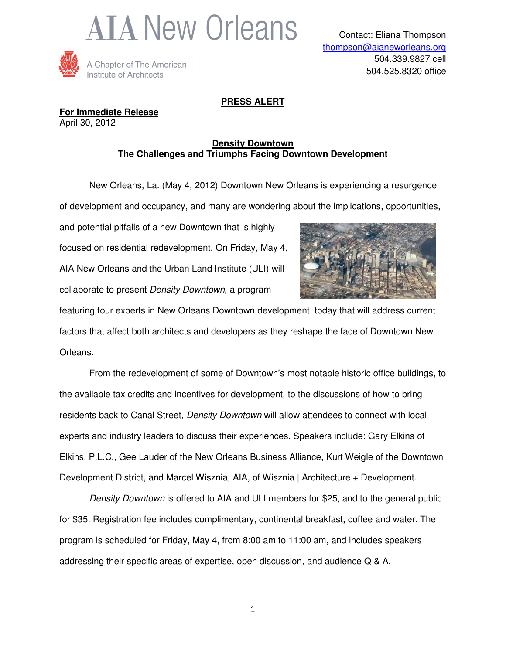



## **PRESS ALERT**

**For Immediate Release** April 30, 2012

## **Density Downtown The Challenges and Triumphs Facing Downtown Development**

 New Orleans, La. (May 4, 2012) Downtown New Orleans is experiencing a resurgence of development and occupancy, and many are wondering about the implications, opportunities,

and potential pitfalls of a new Downtown that is highly focused on residential redevelopment. On Friday, May 4, AIA New Orleans and the Urban Land Institute (ULI) will collaborate to present Density Downtown, a program



featuring four experts in New Orleans Downtown development today that will address current factors that affect both architects and developers as they reshape the face of Downtown New Orleans.

From the redevelopment of some of Downtown's most notable historic office buildings, to the available tax credits and incentives for development, to the discussions of how to bring residents back to Canal Street, Density Downtown will allow attendees to connect with local experts and industry leaders to discuss their experiences. Speakers include: Gary Elkins of Elkins, P.L.C., Gee Lauder of the New Orleans Business Alliance, Kurt Weigle of the Downtown Development District, and Marcel Wisznia, AIA, of Wisznia | Architecture + Development.

Density Downtown is offered to AIA and ULI members for \$25, and to the general public for \$35. Registration fee includes complimentary, continental breakfast, coffee and water. The program is scheduled for Friday, May 4, from 8:00 am to 11:00 am, and includes speakers addressing their specific areas of expertise, open discussion, and audience Q & A.